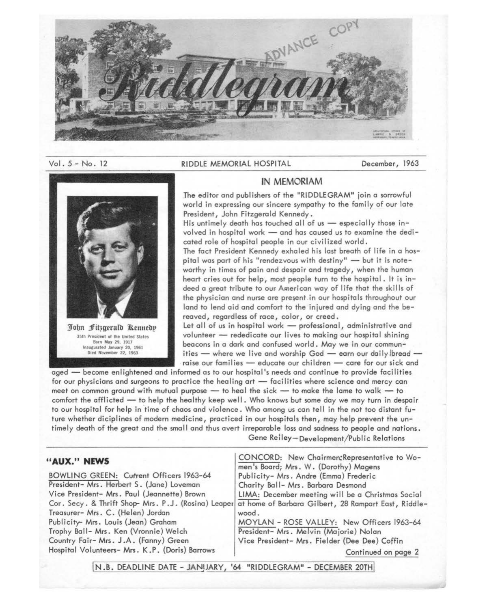

#### Vol. 5- No. 12

#### RIDDLE MEMORIAL HOSPITAL December, 1963



### IN MEMORIAM

The editor and publishers of the "RIDDLEGRAM" join a sorrowful world in expressing our sincere sympathy to the family of our late President, John Fitzgerald Kennedy.

His untimely death has touched all of us  $-$  especially those involved in hospital work - and has caused us to examine the dedicated role of hospital people in our civilized world.

The fact President Kennedy exhaled his last breath of life in a hospital was part of his "rendezvous with destiny"  $-$  but it is noteworthy in times of pain and despair and tragedy, when the human heart cries out for help, most people turn to the hospital. It is indeed a great tribute to our American way of life that the skills of the physician and nurse are present in our hospitals throughout our land to lend aid and comfort to the injured and dying and the bereaved, regardless of race, color, or creed.

Let all of us in hospital work - professional, administrative and volunteer - rededicate our lives to making our hospital shining beacons in a dark and confused world. May we in our communities  $-$  where we live and worship God  $-$  earn our daily bread  $$ raise our families - educate our children - care for our sick and

aged - become enlightened and informed as to our hospital's needs and continue to provide facilities for our physicians and surgeons to practice the healing art - facilities where science and mercy can meet on common ground with mutual purpose  $-$  to heal the sick  $-$  to make the lame to walk  $-$  to comfort the afflicted - to help the healthy keep well. Who knows but some day we may turn in despair to our hospital for help in 'time of chaos and violence. Who among us can tell in the not too distant future whether diciplines of modern medicine, practiced in our hospitals then, may help prevent the untimely death of the great and the smal I and thus avert irreparable loss and **sadness** to people and nations. Gene Reiley-Development/Public Relations

### **"AUX." NEWS**

BOWLING GREEN: Current Officers 1963-64 President- Mrs. Herbert S. (Jane) Loveman Vice President- Mrs. Paul (Jeannette) Brown Cor. Secy. & Thrift Shop- Mrs. P.J. (Rosina) Leaper Treasurer- Mrs. C. (Helen) Jordan Publicity- Mrs. Louis (Jean) Graham Trophy Ball- Mrs. Ken (Vronnie) Welch Country Fair- Mrs. J.A. (Fanny) Green Hospital Volunteers- Mrs. K .P. (Doris) Barrows

CONCORD: New Chairmen:Representative to Women's Board; Mrs. W. (Dorothy) Magens Publicity- Mrs. Andre (Emma) Frederic Charity Ball- Mrs. Barbara Desmond LIMA: December meeting will be a Christmas Social at home of Barbara Gilbert, 28 Rampart East, Riddlewood. MOYLAN - ROSE VALLEY: New Officers 1963-64 President- Mrs. Melvin (Majorie) Nolan Vice President- Mrs. Fielder (Dee Dee) Coffin

Continued on page 2

!N.B. DEADLINE DATE - JANIJARY, '64 "RIDDLEGRAM" - DECEMBER 20THI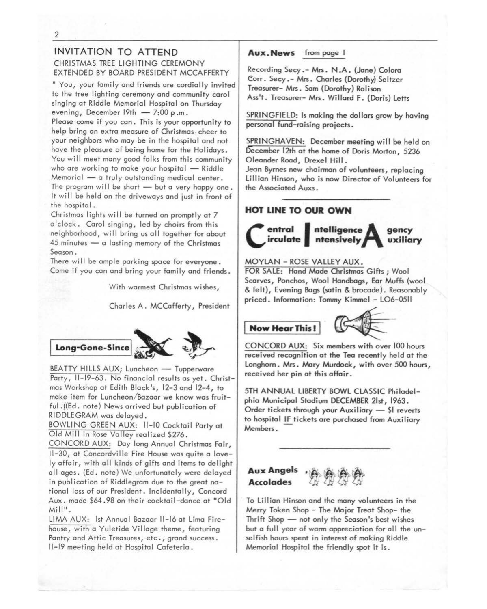# INVITATION TO ATTEND CHRISTMAS TREE LIGHTING CEREMONY EXTENDED BY BOARD PRESIDENT MCCAFFERTY

"You, your family and friends are cordially invited to the tree lighting ceremony and community carol singing at Riddle Memorial Hospital on Thursday evening, December  $19th - 7:00$  p.m.

Please come if you can. This is your opportunity to help bring an extra measure of Christmas cheer to your neighbors who may be in the hospital and not have the pleasure of being home for the Holidays. You will meet many good folks from this community who are working to make your hospital  $-$  Riddle  $M$ emorial  $-$  a truly outstanding medical center. The program will be short  $-$  but a very happy one. It will be held on the driveways and just in front of the hospital.

Christmas lights will be turned on promptly at 7 o'clock. Carol singing, led by choirs from this neighborhood, will bring us all together for about  $45$  minutes  $-$  a lasting memory of the Christmas Season.

There will be ample parking space for everyone. Come if you can and bring your family and friends.

With warmest Christmas wishes,

Charles A. MCCafferty, President



BEATTY HILLS AUX; Luncheon - Tupperware Party, 11-19-63. No financial results as yet. Christmas Workshop at Edith Black's, 12-3 and 12-4, to make item for Luncheon/Bazaar we know was fruitful .((Ed. note) News arrived but publication of RIDDLE GRAM was delayed.

BOWLING GREEN AUX: 11-10 Cocktail Party at Old Mill in Rose Valley realized \$276.

CONCORD AUX: Day long Annual Christmas Fair, 11-30, at Concordville Fire House was quite a lovely affair, with all kinds of gifts and items to delight all ages. (Ed. note) We unfortunately were delayed in publication of Riddlegram due to the great national loss of our President. Incidentally, Concord Aux. made \$64.98 on their cocktail-dance at "Old Mill".

LIMA AUX: 1st Annual Bazaar 11-16 at Lima Firehouse, with a Yuletide Village theme, featuring Pantry and Attic Treasures, etc., grand success. 11-19 meeting held at Hospital Cafeteria.

Aux. News from page 1

Recording Secy.- Mrs. N.A. (Jane) Colora Corr. Secy.- Mrs. Charles (Dorothy} Seltzer Treasurer- Mrs. Sam (Dorothy} Rolison Ass't. Treasurer- Mrs. Willard F. (Doris) Letts

SPRINGFIELD: Is making the dollars grow by having personal fund-raising projects.

SPRINGHAVEN: December meeting will be held on December 12th ot the home of Doris Morton, 5236 Oleander Road, Drexel Hill.

Jean Byrnes new chairman of volunteers, replacing Lillian Hinson, who is now Director of Volunteers for the Associated Auxs.

## **HOT LINE TO OUR OWN**



#### MOYLAN - ROSE VALLEY **AUX.**

FOR SALE: Hand Made Christmas Gifts ; Wool Scarves, Ponchos, Wool Handbogs, Ear Muffs (wool & felt), Evening Bags (satin & brocade). Reasonably priced. Information: Tommy Kimmel - LO6-0511

**Now Hear This!** 



CONCORD AUX: Six members with over 100 hours received recognition at the Tea recently held at the Longhorn. Mrs. Mary Murdock, with over 500 hours, received her pin at this affair.

5TH ANNUAL LIBERTY BOWL CLASSIC Philadelphia Municipal Stadium DECEMBER 21st, 1963. Order tickets through your Auxiliary - \$1 reverts to hospital IF tickets are purchased from Auxiliary Members.

## **Aux Angels Accolades** l..i} & ~ *lJ}*

To Lillian Hinson and the many volunteers in the Merry Token Shop - The Major Treat Shop- the Thrift Shop  $-$  not only the Season's best wishes but a full year of warm appreciation for all the unselfish hours spent in interest of making Riddle Memorial Hospital the friendly spot it is.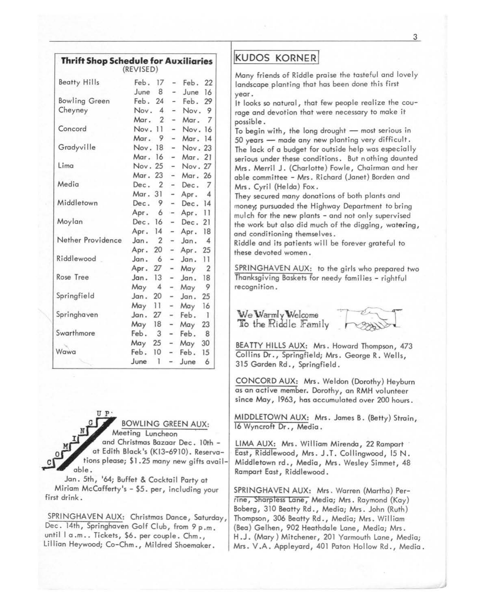| <b>Thrift Shop Schedule for Auxiliaries</b> | (REVISED) |                |                          |         |                |
|---------------------------------------------|-----------|----------------|--------------------------|---------|----------------|
| <b>Beatty Hills</b>                         | Feb.      | 17             | ÷.                       | Feb.    | 22             |
|                                             | June 8    |                | $\overline{\phantom{a}}$ | June    | 16             |
| <b>Bowling Green</b>                        | Feb.      | 24             | $\overline{a}$           | Feb.    | 29             |
| Cheyney                                     | Nov.      | $\overline{4}$ | ٠                        | Nov.    | - 9            |
|                                             | Mar.      | 2              | ٠                        | Mar.    | 7              |
| Concord                                     | Nov.      | 11             | $\overline{\phantom{a}}$ | Nov.    | 16             |
|                                             | Mar.      | 9              | $\frac{1}{2}$            | Mar.    | 14             |
| Gradyville                                  | Nov.      | 18             | $\sim$                   | Nov. 23 |                |
|                                             | Mar. 16   |                | $\sim$                   | Mar. 21 |                |
| Lima                                        | Nov. 25   |                | $\sim$                   | Nov. 27 |                |
|                                             | Mar.      | 23             | $\overline{\phantom{0}}$ | Mar. 26 |                |
| Media                                       | Dec.      | $\overline{2}$ | $-$                      | Dec.    | 7              |
|                                             | Mar.      | 31             | $\overline{\phantom{0}}$ | Apr.    | $\overline{4}$ |
| Middletown                                  | Dec.      | 9              | $\overline{\phantom{a}}$ | Dec.    | 14             |
|                                             | Apr.      | 6              | $\overline{\phantom{a}}$ | Apr.    | 11             |
| Moylan                                      | Dec.      | 16             | $\overline{\phantom{a}}$ | Dec.    | 21             |
|                                             | Apr.      | 14             | $\sim$                   | Apr.    | 18             |
| Nether Providence                           | Jan.      | 2              | $\overline{\phantom{0}}$ | Jan.    | $\overline{4}$ |
|                                             | Apr.      | 20             | -                        | Apr.    | 25             |
| Riddlewood                                  | Jan.      | 6              | -                        | Jan.    | 11             |
|                                             | Apr.      | 27             | W.                       | May     | $\overline{2}$ |
| Rose Tree                                   | Jan. 13   |                | Ξ.                       | Jan.    | 18             |
|                                             | May       | $\overline{4}$ | ÷.                       | May     | 9              |
| Springfield                                 | Jan.      | 20             | ÷.                       | Jan.    | 25             |
|                                             | May       | 11             | $\frac{1}{2}$            | May     | 16             |
| Springhaven                                 | Jan.      | 27             | $\frac{1}{2}$            | Feb.    | ा              |
|                                             | May       | 18             | $-$                      | May     | 23             |
| Swarthmore                                  | Feb.      | 3              | $\overline{\phantom{a}}$ | Feb.    | 8              |

UP BOWLING GREEN AUX: Meeting Luncheon and Christmas Bazaar Dec. 10th at Edith Black's (Kl3-6910). Reservations please; \$1.25 many new gifts available.

,. May 25 - May 30

- Feb.  $June 1 - June 6$ 

Jan. 5th, '64; Buffet & Cocktail Party at Miriam McCafferty's - \$5. per, including your first drink.

SPRINGHAVEN AUX: Christmas Dance, Saturday, Dec. 14th, Springhaven Golf Club, from 9 p.m. until | a.m.. Tickets, \$6. per couple. Chm., Lillian Heywood; Co-Chm., Mildred Shoemaker.

# **KUDOS KORNER**

Many friends of Riddle praise the tasteful and lovely landscape planting that has been done this first year.

It looks so natural, that few people realize the courage and devotion that were necessary to make it possible.

To begin with, the long drought  $-$  most serious in  $50$  years  $-$  made any new planting very difficult. The lack of a budget for outside help was especially serious under these conditions. But nothing daunted Mrs. Merril J. (Charlotte) Fowle, Chairman and her able committee - Mrs. Richard (Janet) Borden and Mrs. Cyril (Heida) Fox.

They secured many donations of both plants and money; pursuaded the Highway Department to bring mulch for the new plants - and not only supervised the work but also did much of the digging, watering, and conditioning themselves.

Riddle and its patients will be forever grateful to these devoted women .

SPRINGHAVEN AUX: to the girls who prepared two Thanksgiving Baskets for needy families - rightful recognition.



BEA TTY HILLS AUX: Mrs. Howard Thompson, 473 Collins Dr., Springfield; Mrs. George R. Wells, 315 Garden Rd., Springfield.

CONCORD AUX: Mrs. Weldon (Dorothy) Heyburn as an active member. Dorothy, an RMH volunteer since May, 1963, has accumulated over 200 hours.

MIDDLETOWN AUX: Mrs. James B. (Betty) Strain, 16 Wyncroft Dr., Media .

LIMA AUX: Mrs. William Mirenda, 22 Rampart East, Riddlewood, Mrs. J.T. Collingwood, 15 N. Middletown rd., Media, Mrs. Wesley Simmet, 48 Rampart East, Riddlewood.

SPRINGHAVEN AUX: Mrs. Warren (Martha) Perrine, Sharpless Lane, Media; Mrs. Raymond (Kay) Boberg, 310 Beatty Rd., Media; Mrs. John (Ruth) Thompson, 306 Beatty Rd., Media; Mrs. William (Bea) Gelhen, 902 Heathdale Lane, Media; Mrs. H.J. (Mary) Mitchener, 201 Yarmouth Lane, Media; Mrs. V.A. Appleyard, 401 Paton Hollow Rd., Media.